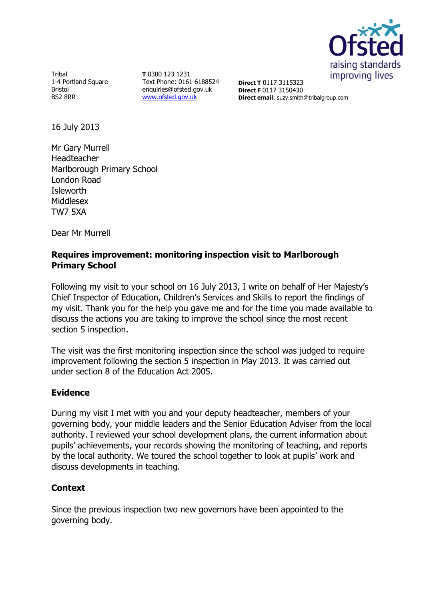

Tribal 1-4 Portland Square Bristol BS2 8RR

**T** 0300 123 1231 Text Phone: 0161 6188524 enquiries@ofsted.gov.uk [www.ofsted.gov.uk](http://www.ofsted.gov.uk/)

**Direct T** 0117 3115323 **Direct F** 0117 3150430 **Direct email**: suzy.smith@tribalgroup.com

16 July 2013

Mr Gary Murrell Headteacher Marlborough Primary School London Road Isleworth Middlesex TW7 5XA

Dear Mr Murrell

# **Requires improvement: monitoring inspection visit to Marlborough Primary School**

Following my visit to your school on 16 July 2013, I write on behalf of Her Majesty's Chief Inspector of Education, Children's Services and Skills to report the findings of my visit. Thank you for the help you gave me and for the time you made available to discuss the actions you are taking to improve the school since the most recent section 5 inspection.

The visit was the first monitoring inspection since the school was judged to require improvement following the section 5 inspection in May 2013. It was carried out under section 8 of the Education Act 2005.

# **Evidence**

During my visit I met with you and your deputy headteacher, members of your governing body, your middle leaders and the Senior Education Adviser from the local authority. I reviewed your school development plans, the current information about pupils' achievements, your records showing the monitoring of teaching, and reports by the local authority. We toured the school together to look at pupils' work and discuss developments in teaching.

### **Context**

Since the previous inspection two new governors have been appointed to the governing body.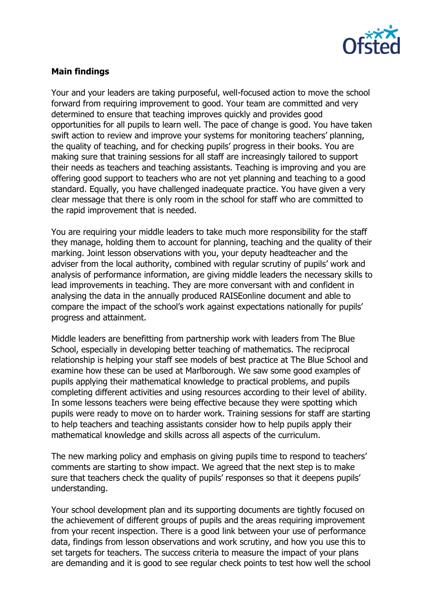

# **Main findings**

Your and your leaders are taking purposeful, well-focused action to move the school forward from requiring improvement to good. Your team are committed and very determined to ensure that teaching improves quickly and provides good opportunities for all pupils to learn well. The pace of change is good. You have taken swift action to review and improve your systems for monitoring teachers' planning, the quality of teaching, and for checking pupils' progress in their books. You are making sure that training sessions for all staff are increasingly tailored to support their needs as teachers and teaching assistants. Teaching is improving and you are offering good support to teachers who are not yet planning and teaching to a good standard. Equally, you have challenged inadequate practice. You have given a very clear message that there is only room in the school for staff who are committed to the rapid improvement that is needed.

You are requiring your middle leaders to take much more responsibility for the staff they manage, holding them to account for planning, teaching and the quality of their marking. Joint lesson observations with you, your deputy headteacher and the adviser from the local authority, combined with regular scrutiny of pupils' work and analysis of performance information, are giving middle leaders the necessary skills to lead improvements in teaching. They are more conversant with and confident in analysing the data in the annually produced RAISEonline document and able to compare the impact of the school's work against expectations nationally for pupils' progress and attainment.

Middle leaders are benefitting from partnership work with leaders from The Blue School, especially in developing better teaching of mathematics. The reciprocal relationship is helping your staff see models of best practice at The Blue School and examine how these can be used at Marlborough. We saw some good examples of pupils applying their mathematical knowledge to practical problems, and pupils completing different activities and using resources according to their level of ability. In some lessons teachers were being effective because they were spotting which pupils were ready to move on to harder work. Training sessions for staff are starting to help teachers and teaching assistants consider how to help pupils apply their mathematical knowledge and skills across all aspects of the curriculum.

The new marking policy and emphasis on giving pupils time to respond to teachers' comments are starting to show impact. We agreed that the next step is to make sure that teachers check the quality of pupils' responses so that it deepens pupils' understanding.

Your school development plan and its supporting documents are tightly focused on the achievement of different groups of pupils and the areas requiring improvement from your recent inspection. There is a good link between your use of performance data, findings from lesson observations and work scrutiny, and how you use this to set targets for teachers. The success criteria to measure the impact of your plans are demanding and it is good to see regular check points to test how well the school